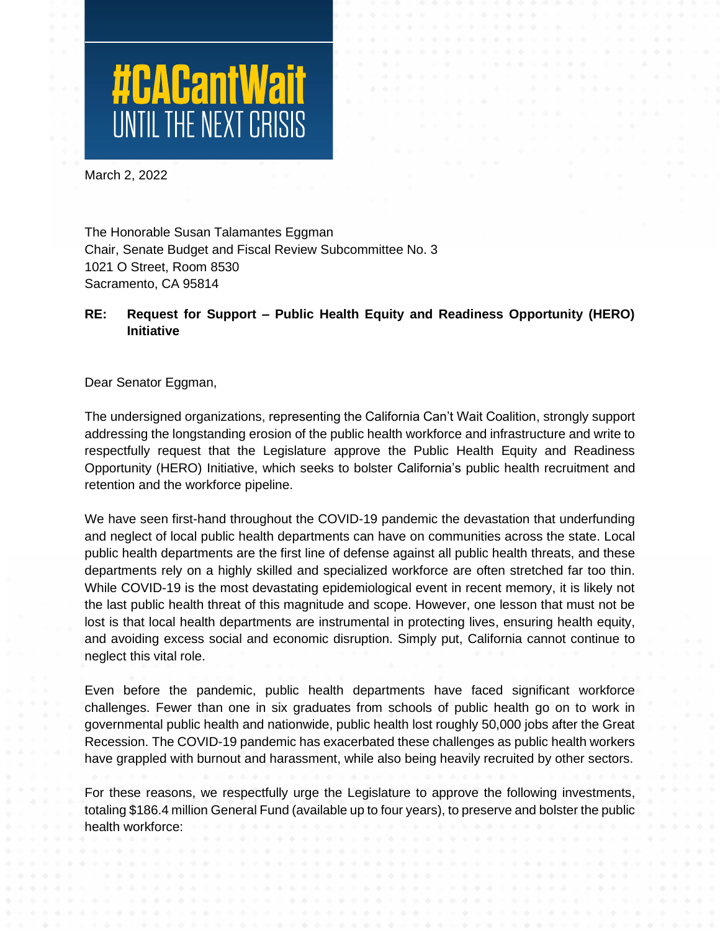# **#CACantWait**

March 2, 2022

The Honorable Susan Talamantes Eggman Chair, Senate Budget and Fiscal Review Subcommittee No. 3 1021 O Street, Room 8530 Sacramento, CA 95814

# **RE: Request for Support – Public Health Equity and Readiness Opportunity (HERO) Initiative**

Dear Senator Eggman,

The undersigned organizations, representing the California Can't Wait Coalition, strongly support addressing the longstanding erosion of the public health workforce and infrastructure and write to respectfully request that the Legislature approve the Public Health Equity and Readiness Opportunity (HERO) Initiative, which seeks to bolster California's public health recruitment and retention and the workforce pipeline.

We have seen first-hand throughout the COVID-19 pandemic the devastation that underfunding and neglect of local public health departments can have on communities across the state. Local public health departments are the first line of defense against all public health threats, and these departments rely on a highly skilled and specialized workforce are often stretched far too thin. While COVID-19 is the most devastating epidemiological event in recent memory, it is likely not the last public health threat of this magnitude and scope. However, one lesson that must not be lost is that local health departments are instrumental in protecting lives, ensuring health equity, and avoiding excess social and economic disruption. Simply put, California cannot continue to neglect this vital role.

Even before the pandemic, public health departments have faced significant workforce challenges. Fewer than one in six graduates from schools of public health go on to work in governmental public health and nationwide, public health lost roughly 50,000 jobs after the Great Recession. The COVID-19 pandemic has exacerbated these challenges as public health workers have grappled with burnout and harassment, while also being heavily recruited by other sectors.

For these reasons, we respectfully urge the Legislature to approve the following investments, totaling \$186.4 million General Fund (available up to four years), to preserve and bolster the public health workforce: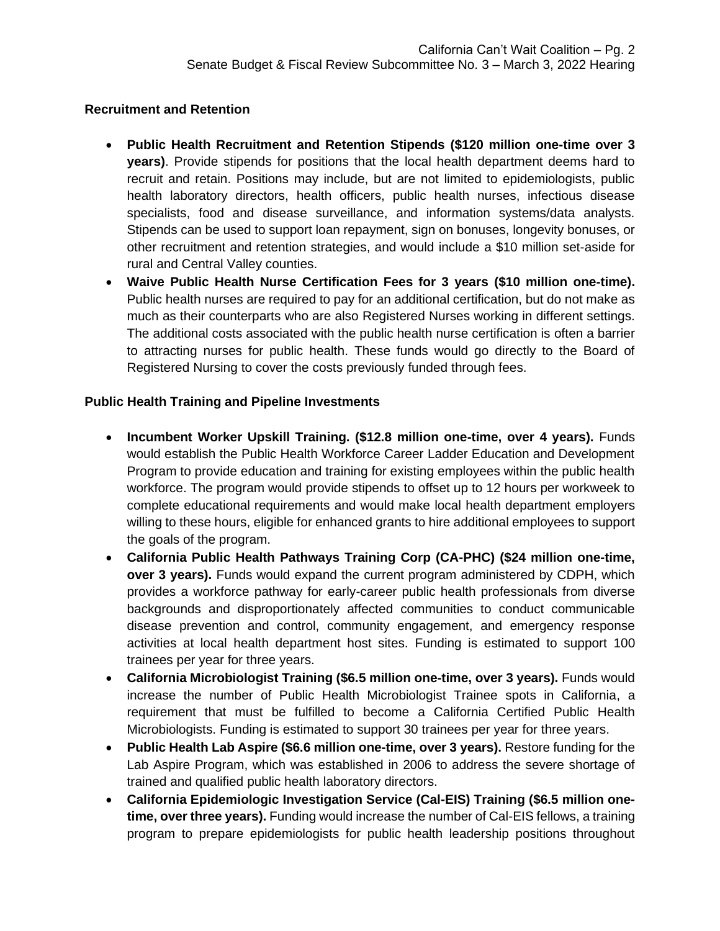### **Recruitment and Retention**

- **Public Health Recruitment and Retention Stipends (\$120 million one-time over 3 years)**. Provide stipends for positions that the local health department deems hard to recruit and retain. Positions may include, but are not limited to epidemiologists, public health laboratory directors, health officers, public health nurses, infectious disease specialists, food and disease surveillance, and information systems/data analysts. Stipends can be used to support loan repayment, sign on bonuses, longevity bonuses, or other recruitment and retention strategies, and would include a \$10 million set-aside for rural and Central Valley counties.
- **Waive Public Health Nurse Certification Fees for 3 years (\$10 million one-time).**  Public health nurses are required to pay for an additional certification, but do not make as much as their counterparts who are also Registered Nurses working in different settings. The additional costs associated with the public health nurse certification is often a barrier to attracting nurses for public health. These funds would go directly to the Board of Registered Nursing to cover the costs previously funded through fees.

## **Public Health Training and Pipeline Investments**

- **Incumbent Worker Upskill Training. (\$12.8 million one-time, over 4 years).** Funds would establish the Public Health Workforce Career Ladder Education and Development Program to provide education and training for existing employees within the public health workforce. The program would provide stipends to offset up to 12 hours per workweek to complete educational requirements and would make local health department employers willing to these hours, eligible for enhanced grants to hire additional employees to support the goals of the program.
- **California Public Health Pathways Training Corp (CA-PHC) (\$24 million one-time, over 3 years).** Funds would expand the current program administered by CDPH, which provides a workforce pathway for early-career public health professionals from diverse backgrounds and disproportionately affected communities to conduct communicable disease prevention and control, community engagement, and emergency response activities at local health department host sites. Funding is estimated to support 100 trainees per year for three years.
- **California Microbiologist Training (\$6.5 million one-time, over 3 years).** Funds would increase the number of Public Health Microbiologist Trainee spots in California, a requirement that must be fulfilled to become a California Certified Public Health Microbiologists. Funding is estimated to support 30 trainees per year for three years.
- **Public Health Lab Aspire (\$6.6 million one-time, over 3 years).** Restore funding for the Lab Aspire Program, which was established in 2006 to address the severe shortage of trained and qualified public health laboratory directors.
- **California Epidemiologic Investigation Service (Cal-EIS) Training (\$6.5 million onetime, over three years).** Funding would increase the number of Cal-EIS fellows, a training program to prepare epidemiologists for public health leadership positions throughout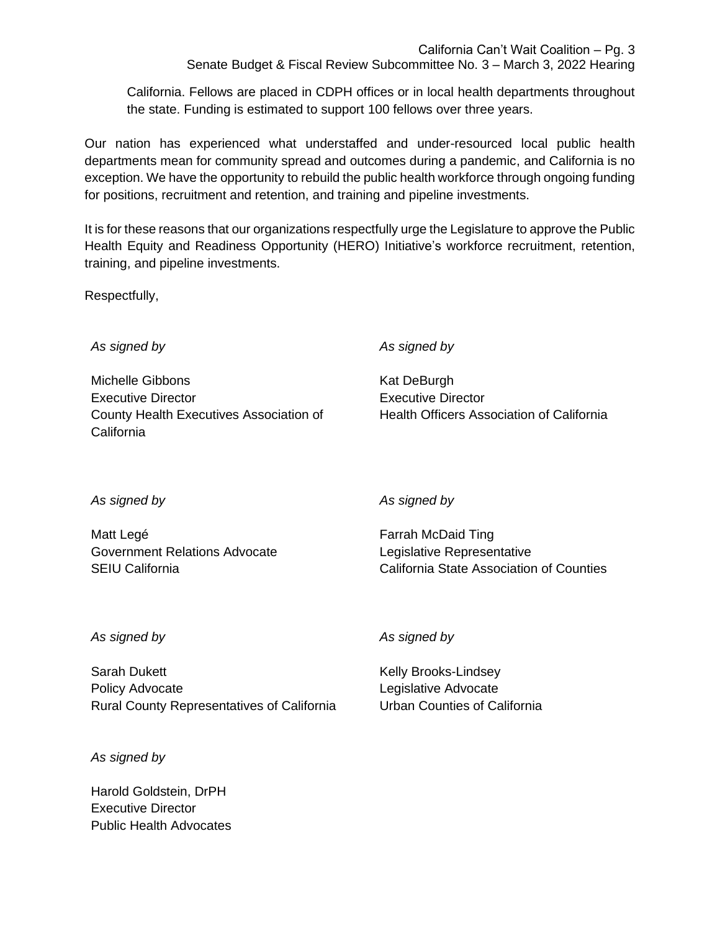California Can't Wait Coalition – Pg. 3

Senate Budget & Fiscal Review Subcommittee No. 3 – March 3, 2022 Hearing

California. Fellows are placed in CDPH offices or in local health departments throughout the state. Funding is estimated to support 100 fellows over three years.

Our nation has experienced what understaffed and under-resourced local public health departments mean for community spread and outcomes during a pandemic, and California is no exception. We have the opportunity to rebuild the public health workforce through ongoing funding for positions, recruitment and retention, and training and pipeline investments.

It is for these reasons that our organizations respectfully urge the Legislature to approve the Public Health Equity and Readiness Opportunity (HERO) Initiative's workforce recruitment, retention, training, and pipeline investments.

Respectfully,

*As signed by*

Michelle Gibbons Executive Director County Health Executives Association of California

*As signed by*

Kat DeBurgh Executive Director Health Officers Association of California

*As signed by*

Matt Legé Government Relations Advocate SEIU California

*As signed by*

Farrah McDaid Ting Legislative Representative California State Association of Counties

### *As signed by*

Sarah Dukett Policy Advocate Rural County Representatives of California *As signed by*

Kelly Brooks-Lindsey Legislative Advocate Urban Counties of California

*As signed by*

Harold Goldstein, DrPH Executive Director Public Health Advocates